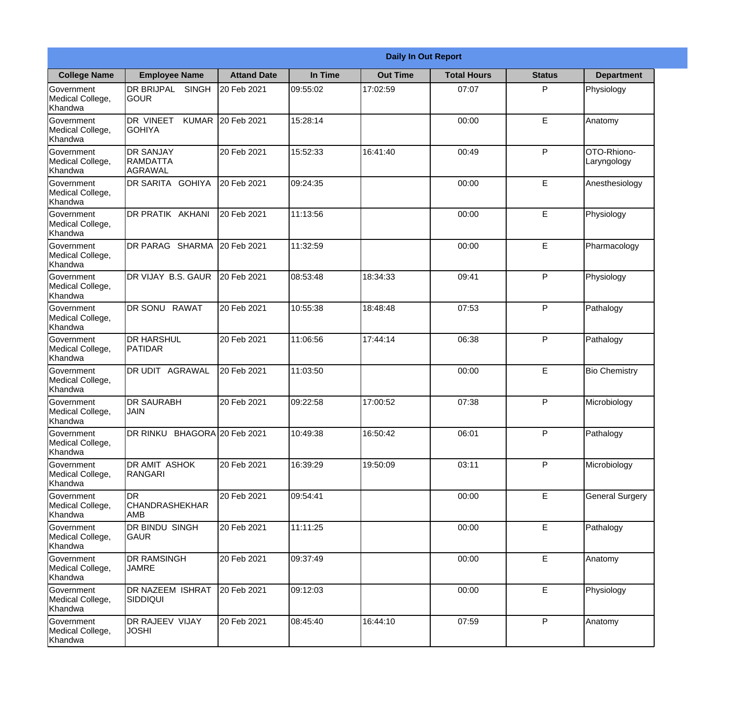|                                                  |                                                    |                    |          | <b>Daily In Out Report</b> |                    |               |                            |
|--------------------------------------------------|----------------------------------------------------|--------------------|----------|----------------------------|--------------------|---------------|----------------------------|
| <b>College Name</b>                              | <b>Employee Name</b>                               | <b>Attand Date</b> | In Time  | <b>Out Time</b>            | <b>Total Hours</b> | <b>Status</b> | <b>Department</b>          |
| Government<br>Medical College,<br>Khandwa        | <b>DR BRIJPAL</b><br><b>SINGH</b><br> GOUR         | 20 Feb 2021        | 09:55:02 | 17:02:59                   | 07:07              | P             | Physiology                 |
| Government<br>Medical College,<br>Khandwa        | DR VINEET<br><b>GOHIYA</b>                         | KUMAR 20 Feb 2021  | 15:28:14 |                            | 00:00              | E             | Anatomy                    |
| <b>Government</b><br>Medical College,<br>Khandwa | <b>DR SANJAY</b><br><b>RAMDATTA</b><br>AGRAWAL     | 20 Feb 2021        | 15:52:33 | 16:41:40                   | 00:49              | P             | OTO-Rhiono-<br>Laryngology |
| <b>Government</b><br>Medical College,<br>Khandwa | <b>DR SARITA GOHIYA</b>                            | 20 Feb 2021        | 09:24:35 |                            | 00:00              | E             | Anesthesiology             |
| Government<br>Medical College,<br>Khandwa        | <b>DR PRATIK AKHANI</b>                            | 20 Feb 2021        | 11:13:56 |                            | 00:00              | E             | Physiology                 |
| Government<br>Medical College,<br>Khandwa        | DR PARAG SHARMA                                    | 20 Feb 2021        | 11:32:59 |                            | 00:00              | E             | Pharmacology               |
| <b>Government</b><br>Medical College,<br>Khandwa | DR VIJAY B.S. GAUR                                 | 20 Feb 2021        | 08:53:48 | 18:34:33                   | 09:41              | P             | Physiology                 |
| <b>Government</b><br>Medical College,<br>Khandwa | DR SONU RAWAT                                      | 20 Feb 2021        | 10:55:38 | 18:48:48                   | 07:53              | P             | Pathalogy                  |
| Government<br>Medical College,<br>Khandwa        | <b>DR HARSHUL</b><br><b>PATIDAR</b>                | 20 Feb 2021        | 11:06:56 | 17:44:14                   | 06:38              | P             | Pathalogy                  |
| Government<br>Medical College,<br>Khandwa        | <b>DR UDIT AGRAWAL</b>                             | 20 Feb 2021        | 11:03:50 |                            | 00:00              | $\mathsf E$   | <b>Bio Chemistry</b>       |
| Government<br>Medical College,<br>Khandwa        | IDR SAURABH<br><b>JAIN</b>                         | 20 Feb 2021        | 09:22:58 | 17:00:52                   | 07:38              | P             | Microbiology               |
| Government<br>Medical College,<br>Khandwa        | DR RINKU BHAGORA 20 Feb 2021                       |                    | 10:49:38 | 16:50:42                   | 06:01              | P             | Pathalogy                  |
| Government<br>Medical College,<br>Khandwa        | <b>DR AMIT ASHOK</b><br><b>RANGARI</b>             | 20 Feb 2021        | 16:39:29 | 19:50:09                   | 03:11              | P             | Microbiology               |
| Government<br>Medical College,<br>Khandwa        | <b>I</b> DR<br><b>CHANDRASHEKHAR</b><br><b>AMB</b> | 20 Feb 2021        | 09:54:41 |                            | 00:00              | $\mathsf E$   | <b>General Surgery</b>     |
| Government<br>Medical College,<br>Khandwa        | DR BINDU SINGH<br><b>GAUR</b>                      | 20 Feb 2021        | 11:11:25 |                            | 00:00              | E             | Pathalogy                  |
| Government<br>Medical College,<br>Khandwa        | <b>DR RAMSINGH</b><br><b>JAMRE</b>                 | 20 Feb 2021        | 09:37:49 |                            | 00:00              | E             | Anatomy                    |
| Government<br>Medical College,<br>Khandwa        | <b>DR NAZEEM ISHRAT</b><br><b>SIDDIQUI</b>         | 20 Feb 2021        | 09:12:03 |                            | 00:00              | E             | Physiology                 |
| Government<br>Medical College,<br>Khandwa        | <b>DR RAJEEV VIJAY</b><br><b>JOSHI</b>             | 20 Feb 2021        | 08:45:40 | 16:44:10                   | 07:59              | P             | Anatomy                    |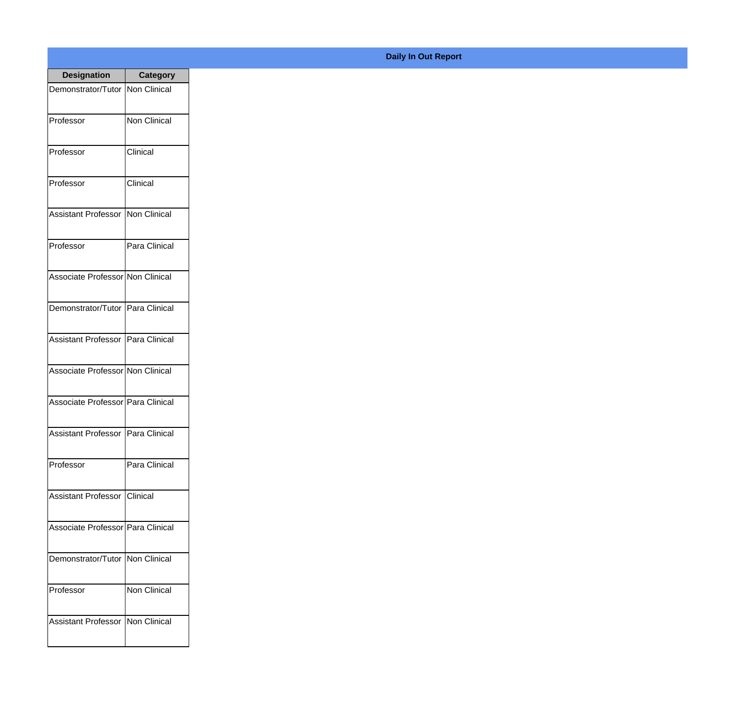| <b>Designation</b>                         | <b>Category</b>     |
|--------------------------------------------|---------------------|
| Demonstrator/Tutor   Non Clinical          |                     |
| Professor                                  | <b>Non Clinical</b> |
| Professor                                  | Clinical            |
| Professor                                  | Clinical            |
| <b>Assistant Professor</b>                 | <b>Non Clinical</b> |
| Professor                                  | Para Clinical       |
| Associate Professor Non Clinical           |                     |
| Demonstrator/Tutor   Para Clinical         |                     |
| <b>Assistant Professor   Para Clinical</b> |                     |
| Associate Professor Non Clinical           |                     |
| Associate Professor   Para Clinical        |                     |
| Assistant Professor   Para Clinical        |                     |
| Professor                                  | Para Clinical       |
| Assistant Professor   Clinical             |                     |
| Associate Professor   Para Clinical        |                     |
| Demonstrator/Tutor   Non Clinical          |                     |
| Professor                                  | Non Clinical        |
| <b>Assistant Professor   Non Clinical</b>  |                     |

## **Daily In Out Report**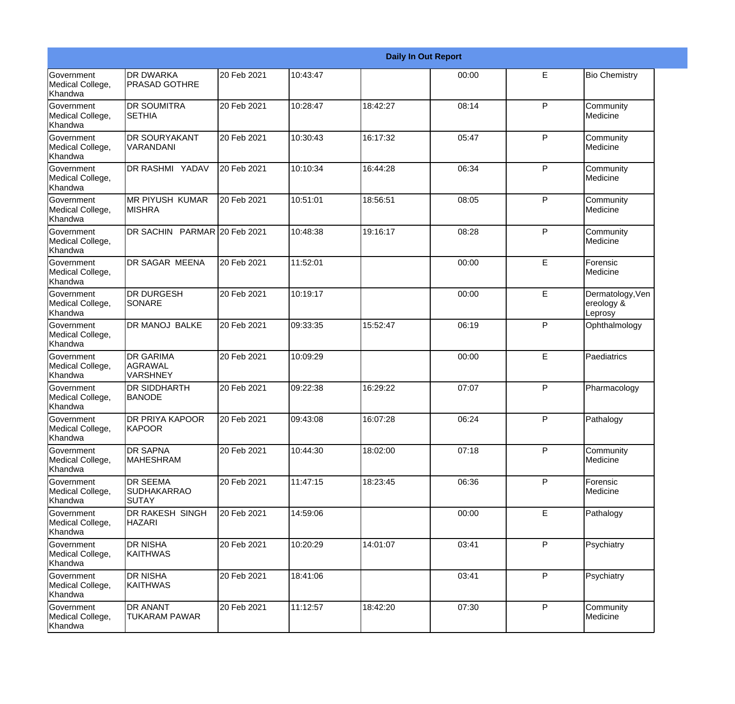|                                                  |                                                       |             |          |          | <b>Daily In Out Report</b> |              |                                           |
|--------------------------------------------------|-------------------------------------------------------|-------------|----------|----------|----------------------------|--------------|-------------------------------------------|
| Government<br>Medical College,<br>Khandwa        | <b>DR DWARKA</b><br><b>PRASAD GOTHRE</b>              | 20 Feb 2021 | 10:43:47 |          | 00:00                      | E            | <b>Bio Chemistry</b>                      |
| Government<br>Medical College,<br>Khandwa        | <b>DR SOUMITRA</b><br><b>SETHIA</b>                   | 20 Feb 2021 | 10:28:47 | 18:42:27 | 08:14                      | $\mathsf{P}$ | Community<br>Medicine                     |
| <b>Government</b><br>Medical College,<br>Khandwa | <b>DR SOURYAKANT</b><br>VARANDANI                     | 20 Feb 2021 | 10:30:43 | 16:17:32 | 05:47                      | $\mathsf{P}$ | Community<br>Medicine                     |
| <b>Government</b><br>Medical College,<br>Khandwa | DR RASHMI YADAV                                       | 20 Feb 2021 | 10:10:34 | 16:44:28 | 06:34                      | $\mathsf{P}$ | Community<br>Medicine                     |
| <b>Government</b><br>Medical College,<br>Khandwa | <b>MR PIYUSH KUMAR</b><br><b>MISHRA</b>               | 20 Feb 2021 | 10:51:01 | 18:56:51 | 08:05                      | $\mathsf{P}$ | Community<br>Medicine                     |
| Government<br>Medical College,<br>Khandwa        | DR SACHIN PARMAR 20 Feb 2021                          |             | 10:48:38 | 19:16:17 | 08:28                      | $\mathsf{P}$ | Community<br>Medicine                     |
| <b>Government</b><br>Medical College,<br>Khandwa | <b>DR SAGAR MEENA</b>                                 | 20 Feb 2021 | 11:52:01 |          | 00:00                      | E            | Forensic<br>Medicine                      |
| <b>Government</b><br>Medical College,<br>Khandwa | <b>DR DURGESH</b><br>SONARE                           | 20 Feb 2021 | 10:19:17 |          | 00:00                      | E            | Dermatology, Ven<br>ereology &<br>Leprosy |
| Government<br>Medical College,<br>Khandwa        | DR MANOJ BALKE                                        | 20 Feb 2021 | 09:33:35 | 15:52:47 | 06:19                      | P            | Ophthalmology                             |
| Government<br>Medical College,<br>Khandwa        | <b>DR GARIMA</b><br><b>AGRAWAL</b><br><b>VARSHNEY</b> | 20 Feb 2021 | 10:09:29 |          | 00:00                      | E            | Paediatrics                               |
| <b>Government</b><br>Medical College,<br>Khandwa | <b>DR SIDDHARTH</b><br><b>BANODE</b>                  | 20 Feb 2021 | 09:22:38 | 16:29:22 | 07:07                      | P            | Pharmacology                              |
| Government<br>Medical College,<br>Khandwa        | <b>DR PRIYA KAPOOR</b><br>KAPOOR                      | 20 Feb 2021 | 09:43:08 | 16:07:28 | 06:24                      | P            | Pathalogy                                 |
| Government<br>Medical College,<br>Khandwa        | DR SAPNA<br><b>MAHESHRAM</b>                          | 20 Feb 2021 | 10:44:30 | 18:02:00 | 07:18                      | P            | Community<br>Medicine                     |
| Government<br>Medical College,<br>Khandwa        | <b>DR SEEMA</b><br><b>SUDHAKARRAO</b><br><b>SUTAY</b> | 20 Feb 2021 | 11:47:15 | 18:23:45 | 06:36                      | P            | Forensic<br>Medicine                      |
| Government<br>Medical College,<br>Khandwa        | DR RAKESH SINGH<br><b>HAZARI</b>                      | 20 Feb 2021 | 14:59:06 |          | 00:00                      | E            | Pathalogy                                 |
| Government<br>Medical College,<br>Khandwa        | DR NISHA<br><b>KAITHWAS</b>                           | 20 Feb 2021 | 10:20:29 | 14:01:07 | 03:41                      | P            | Psychiatry                                |
| Government<br>Medical College,<br>Khandwa        | DR NISHA<br><b>KAITHWAS</b>                           | 20 Feb 2021 | 18:41:06 |          | 03:41                      | P            | Psychiatry                                |
| Government<br>Medical College,<br>Khandwa        | DR ANANT<br><b>TUKARAM PAWAR</b>                      | 20 Feb 2021 | 11:12:57 | 18:42:20 | 07:30                      | P            | Community<br>Medicine                     |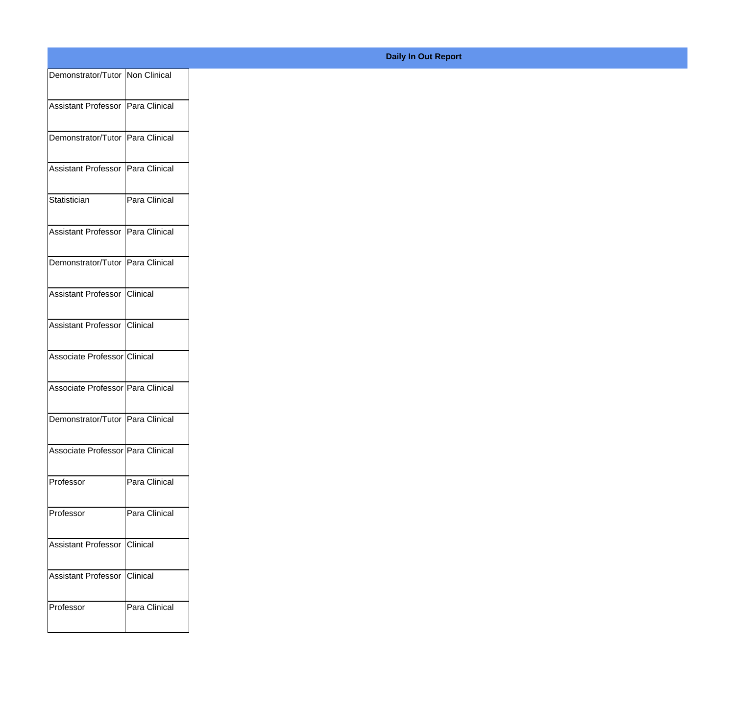| Demonstrator/Tutor Non Clinical   |               |
|-----------------------------------|---------------|
| Assistant Professor Para Clinical |               |
|                                   |               |
| Demonstrator/Tutor Para Clinical  |               |
| Assistant Professor Para Clinical |               |
| Statistician                      | Para Clinical |
| Assistant Professor Para Clinical |               |
| Demonstrator/Tutor Para Clinical  |               |
| Assistant Professor Clinical      |               |
| Assistant Professor Clinical      |               |
| Associate Professor Clinical      |               |
| Associate Professor Para Clinical |               |
|                                   |               |
| Demonstrator/Tutor Para Clinical  |               |
| Associate Professor Para Clinical |               |
| Professor                         | Para Clinical |
| Professor                         | Para Clinical |
| Assistant Professor Clinical      |               |
| Assistant Professor Clinical      |               |
| Professor                         | Para Clinical |
|                                   |               |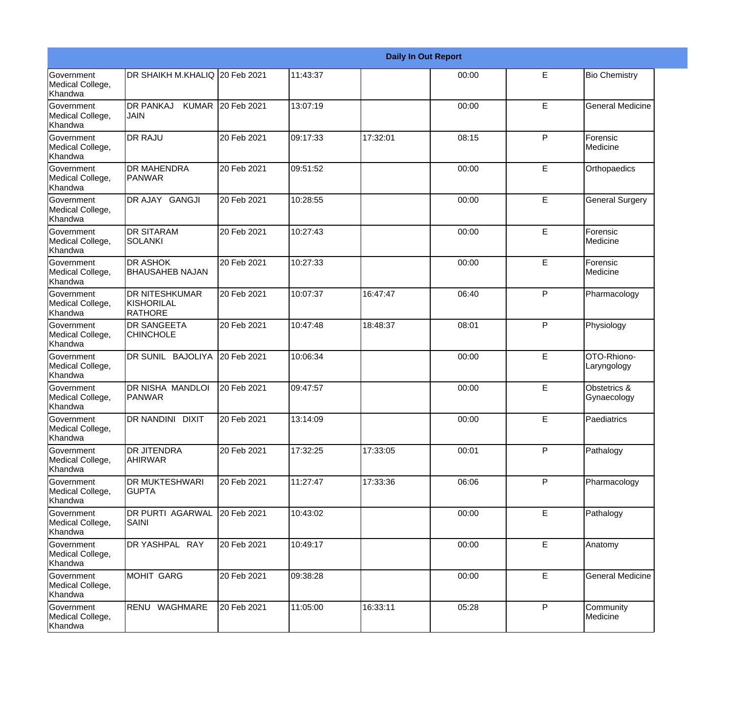|                                                         |                                                       |             |          |          | <b>Daily In Out Report</b> |              |                             |
|---------------------------------------------------------|-------------------------------------------------------|-------------|----------|----------|----------------------------|--------------|-----------------------------|
| Government<br>Medical College,<br>Khandwa               | DR SHAIKH M.KHALIQ 20 Feb 2021                        |             | 11:43:37 |          | 00:00                      | E            | <b>Bio Chemistry</b>        |
| <b>Government</b><br>Medical College,<br>Khandwa        | DR PANKAJ KUMAR 20 Feb 2021<br>JAIN                   |             | 13:07:19 |          | 00:00                      | E            | <b>General Medicine</b>     |
| <b>Government</b><br>Medical College,<br><b>Khandwa</b> | <b>DR RAJU</b>                                        | 20 Feb 2021 | 09:17:33 | 17:32:01 | 08:15                      | P            | Forensic<br>Medicine        |
| <b>Government</b><br>Medical College,<br>Khandwa        | <b>DR MAHENDRA</b><br>PANWAR                          | 20 Feb 2021 | 09:51:52 |          | 00:00                      | E            | Orthopaedics                |
| Government<br>Medical College,<br>Khandwa               | DR AJAY GANGJI                                        | 20 Feb 2021 | 10:28:55 |          | 00:00                      | E            | <b>General Surgery</b>      |
| Government<br>Medical College,<br><b>Khandwa</b>        | <b>DR SITARAM</b><br><b>SOLANKI</b>                   | 20 Feb 2021 | 10:27:43 |          | 00:00                      | E            | Forensic<br>Medicine        |
| Government<br>Medical College,<br>Khandwa               | <b>DR ASHOK</b><br><b>BHAUSAHEB NAJAN</b>             | 20 Feb 2021 | 10:27:33 |          | 00:00                      | E            | Forensic<br>Medicine        |
| Government<br>Medical College,<br>Khandwa               | <b>DR NITESHKUMAR</b><br>KISHORILAL<br><b>RATHORE</b> | 20 Feb 2021 | 10:07:37 | 16:47:47 | 06:40                      | P            | Pharmacology                |
| Government<br>Medical College,<br>Khandwa               | <b>DR SANGEETA</b><br><b>CHINCHOLE</b>                | 20 Feb 2021 | 10:47:48 | 18:48:37 | 08:01                      | $\mathsf{P}$ | Physiology                  |
| <b>Government</b><br>Medical College,<br>Khandwa        | DR SUNIL BAJOLIYA                                     | 20 Feb 2021 | 10:06:34 |          | 00:00                      | E            | OTO-Rhiono-<br>Laryngology  |
| <b>Government</b><br>Medical College,<br>Khandwa        | DR NISHA MANDLOI<br><b>PANWAR</b>                     | 20 Feb 2021 | 09:47:57 |          | 00:00                      | E            | Obstetrics &<br>Gynaecology |
| Government<br>Medical College,<br>Khandwa               | DR NANDINI DIXIT                                      | 20 Feb 2021 | 13:14:09 |          | 00:00                      | E            | Paediatrics                 |
| <b>Government</b><br>Medical College,<br>Khandwa        | <b>DR JITENDRA</b><br><b>AHIRWAR</b>                  | 20 Feb 2021 | 17:32:25 | 17:33:05 | 00:01                      | P            | Pathalogy                   |
| Government<br>Medical College,<br>Khandwa               | <b>DR MUKTESHWARI</b><br><b>GUPTA</b>                 | 20 Feb 2021 | 11:27:47 | 17:33:36 | 06:06                      | P            | Pharmacology                |
| Government<br>Medical College,<br>Khandwa               | DR PURTI AGARWAL<br>SAINI                             | 20 Feb 2021 | 10:43:02 |          | 00:00                      | E            | Pathalogy                   |
| Government<br>Medical College,<br>Khandwa               | DR YASHPAL RAY                                        | 20 Feb 2021 | 10:49:17 |          | 00:00                      | E            | Anatomy                     |
| Government<br>Medical College,<br>Khandwa               | MOHIT GARG                                            | 20 Feb 2021 | 09:38:28 |          | 00:00                      | E            | <b>General Medicine</b>     |
| Government<br>Medical College,<br>Khandwa               | RENU WAGHMARE                                         | 20 Feb 2021 | 11:05:00 | 16:33:11 | 05:28                      | P            | Community<br>Medicine       |